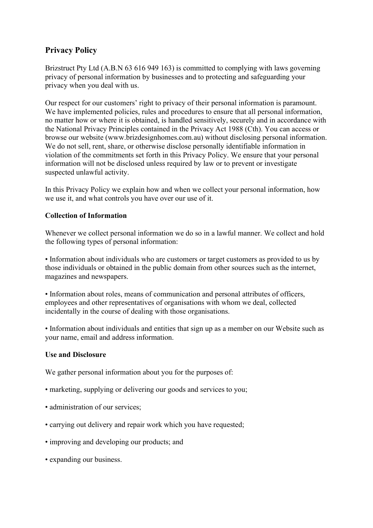# Privacy Policy

Brizstruct Pty Ltd (A.B.N 63 616 949 163) is committed to complying with laws governing privacy of personal information by businesses and to protecting and safeguarding your privacy when you deal with us.

Our respect for our customers' right to privacy of their personal information is paramount. We have implemented policies, rules and procedures to ensure that all personal information, no matter how or where it is obtained, is handled sensitively, securely and in accordance with the National Privacy Principles contained in the Privacy Act 1988 (Cth). You can access or browse our website (www.brizdesignhomes.com.au) without disclosing personal information. We do not sell, rent, share, or otherwise disclose personally identifiable information in violation of the commitments set forth in this Privacy Policy. We ensure that your personal information will not be disclosed unless required by law or to prevent or investigate suspected unlawful activity.

In this Privacy Policy we explain how and when we collect your personal information, how we use it, and what controls you have over our use of it.

## Collection of Information

Whenever we collect personal information we do so in a lawful manner. We collect and hold the following types of personal information:

• Information about individuals who are customers or target customers as provided to us by those individuals or obtained in the public domain from other sources such as the internet, magazines and newspapers.

• Information about roles, means of communication and personal attributes of officers, employees and other representatives of organisations with whom we deal, collected incidentally in the course of dealing with those organisations.

• Information about individuals and entities that sign up as a member on our Website such as your name, email and address information.

#### Use and Disclosure

We gather personal information about you for the purposes of:

- marketing, supplying or delivering our goods and services to you;
- administration of our services:
- carrying out delivery and repair work which you have requested;
- improving and developing our products; and
- expanding our business.